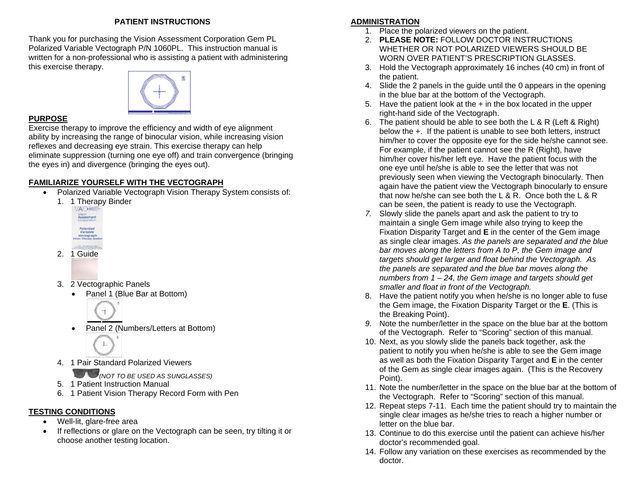#### **PATIENT INSTRUCTIONS**

Thank you for purchasing the Vision Assessment Corporation Gem PL Polarized Variable Vectograph P/N 1060PL. This instruction manual is written for a non-professional who is assisting a patient with administering this exercise therapy.



#### **PURPOSE**

Exercise therapy to improve the efficiency and width of eye alignment ability by increasing the range of binocular vision, while increasing vision reflexes and decreasing eye strain. This exercise therapy can help eliminate suppression (turning one eye off) and train convergence (bringing the eyes in) and divergence (bringing the eyes out).

# **FAMILIARIZE YOURSELF WITH THE VECTOGRAPH**

- Polarized Variable Vectograph Vision Therapy System consists of:
	- 1. 1 Therapy Binder



- 2. 1 Guide
- 3. 2 Vectographic Panels
	- Panel 1 (Blue Bar at Bottom)



- Panel 2 (Numbers/Letters at Bottom)
- 4. 1 Pair Standard Polarized Viewers
	- *(NOT TO BE USED AS SUNGLASSES)*
- 5. 1 Patient Instruction Manual
- 6. 1 Patient Vision Therapy Record Form with Pen

# **TESTING CONDITIONS**

- Well-lit, glare-free area
- If reflections or glare on the Vectograph can be seen, try tilting it or choose another testing location.

# **ADMINISTRATION**

- 1. Place the polarized viewers on the patient.
- 2. **PLEASE NOTE:** FOLLOW DOCTOR INSTRUCTIONS WHETHER OR NOT POLARIZED VIEWERS SHOULD BE WORN OVER PATIENT'S PRESCRIPTION GLASSES.
- 3. Hold the Vectograph approximately 16 inches (40 cm) in front of the patient.
- 4. Slide the 2 panels in the guide until the 0 appears in the opening in the blue bar at the bottom of the Vectograph.
- 5. Have the patient look at the  $+$  in the box located in the upper right-hand side of the Vectograph.
- 6. The patient should be able to see both the L & R (Left & Right) below the +. If the patient is unable to see both letters, instruct him/her to cover the opposite eye for the side he/she cannot see. For example, if the patient cannot see the R (Right), have him/her cover his/her left eye. Have the patient focus with the one eye until he/she is able to see the letter that was not previously seen when viewing the Vectograph binocularly. Then again have the patient view the Vectograph binocularly to ensure that now he/she can see both the L & R. Once both the L & R can be seen, the patient is ready to use the Vectograph.
- *7.* Slowly slide the panels apart and ask the patient to try to maintain a single Gem image while also trying to keep the Fixation Disparity Target and **E** in the center of the Gem image as single clear images. *As the panels are separated and the blue bar moves along the letters from A to P, the Gem image and targets should get larger and float behind the Vectograph. As the panels are separated and the blue bar moves along the numbers from 1 – 24, the Gem image and targets should get smaller and float in front of the Vectograph.*
- 8. Have the patient notify you when he/she is no longer able to fuse the Gem image, the Fixation Disparity Target or the **E**. (This is the Breaking Point).
- *9.* Note the number/letter in the space on the blue bar at the bottom of the Vectograph. Refer to "Scoring" section of this manual.
- 10. Next, as you slowly slide the panels back together, ask the patient to notify you when he/she is able to see the Gem image as well as both the Fixation Disparity Target and **E** in the center of the Gem as single clear images again. (This is the Recovery Point).
- 11. Note the number/letter in the space on the blue bar at the bottom of the Vectograph. Refer to "Scoring" section of this manual.
- 12. Repeat steps 7-11. Each time the patient should try to maintain the single clear images as he/she tries to reach a higher number or letter on the blue bar.
- 13. Continue to do this exercise until the patient can achieve his/her doctor's recommended goal.
- 14. Follow any variation on these exercises as recommended by the doctor.